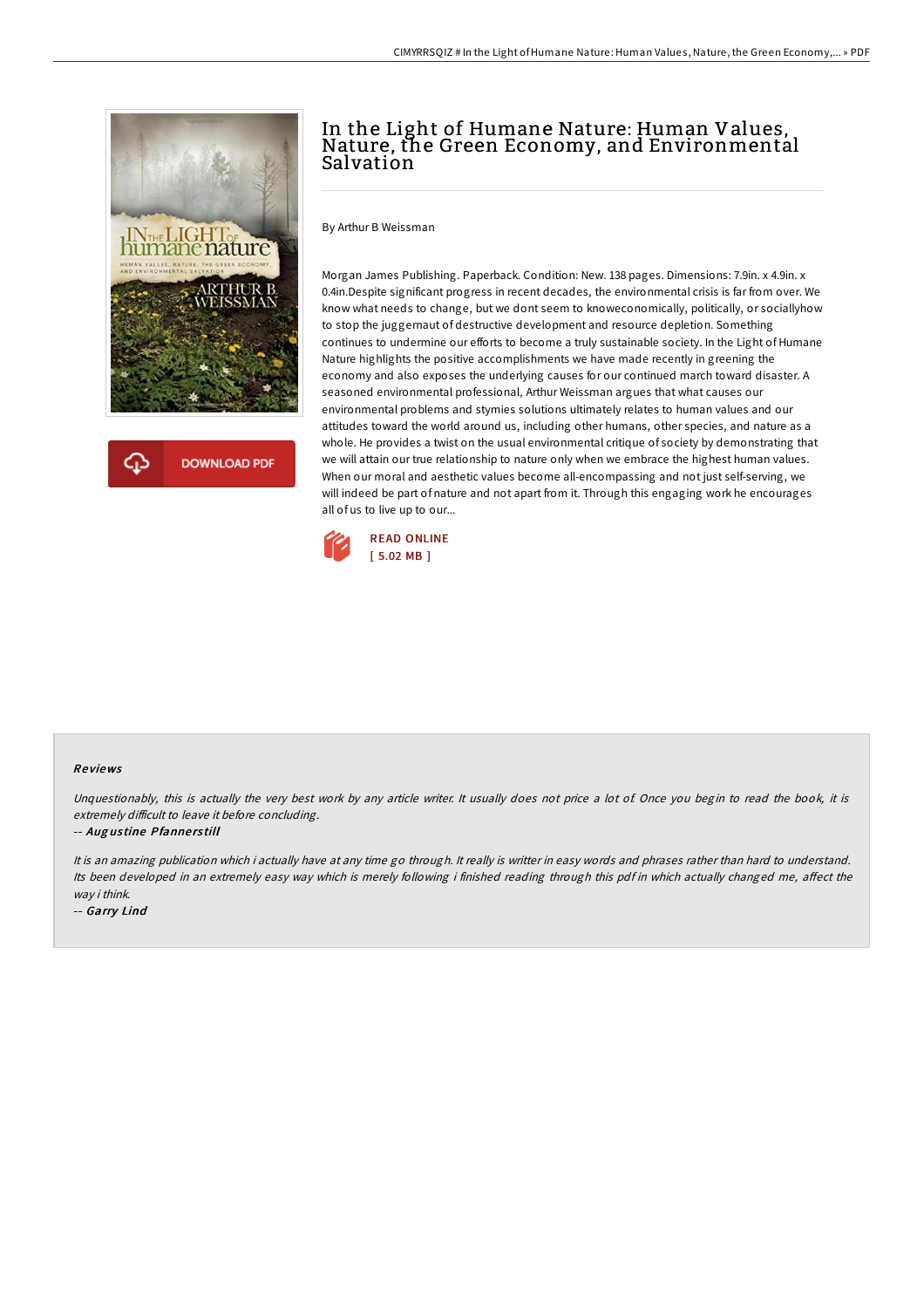

## **DOWNLOAD PDF**

# In the Light of Humane Nature: Human Values, Nature, the Green Economy, and Environmental Salvation

By Arthur B Weissman

Morgan James Publishing. Paperback. Condition: New. 138 pages. Dimensions: 7.9in. x 4.9in. x 0.4in.Despite significant progress in recent decades, the environmental crisis is far from over. We know what needs to change, but we dont seem to knoweconomically, politically, or sociallyhow to stop the juggernaut of destructive development and resource depletion. Something continues to undermine our efforts to become a truly sustainable society. In the Light of Humane Nature highlights the positive accomplishments we have made recently in greening the economy and also exposes the underlying causes for our continued march toward disaster. A seasoned environmental professional, Arthur Weissman argues that what causes our environmental problems and stymies solutions ultimately relates to human values and our attitudes toward the world around us, including other humans, other species, and nature as a whole. He provides a twist on the usual environmental critique of society by demonstrating that we will attain our true relationship to nature only when we embrace the highest human values. When our moral and aesthetic values become all-encompassing and not just self-serving, we will indeed be part of nature and not apart from it. Through this engaging work he encourages all of us to live up to our...



#### Re views

Unquestionably, this is actually the very best work by any article writer. It usually does not price a lot of Once you begin to read the book, it is extremely difficult to leave it before concluding.

#### -- Aug us tine Pfanne rs till

It is an amazing publication which i actually have at any time go through. It really is writter in easy words and phrases rather than hard to understand. Its been developed in an extremely easy way which is merely following i finished reading through this pdf in which actually changed me, affect the way i think.

-- Garry Lind